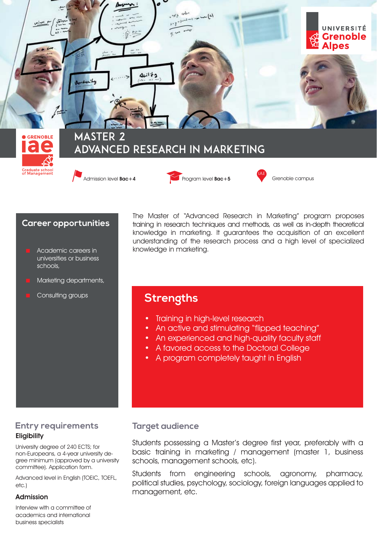

Admission level **Bac+4** Program level **Bac+5** Grenoble campus





### **Career opportunities**

- Academic careers in universities or business schools,
- Marketing departments,
- Consulting groups

The Master of "Advanced Research in Marketing" program proposes training in research techniques and methods, as well as in-depth theoretical knowledge in marketing. It guarantees the acquisition of an excellent understanding of the research process and a high level of specialized knowledge in marketing.

# **Strengths**

- Training in high-level research
- An active and stimulating "flipped teaching"
- An experienced and high-quality faculty staff
- A favored access to the Doctoral College
- A program completely taught in English

# **Entry requirements Eligibility**

University degree of 240 ECTS; for non-Europeans, a 4-year university degree minimum (approved by a university committee). Application form.

Advanced level in English (TOEIC, TOEFL, etc.)

#### Admission

Interview with a committee of academics and international business specialists

# **Target audience**

Students possessing a Master's degree first year, preferably with a basic training in marketing / management (master 1, business schools, management schools, etc).

Students from engineering schools, agronomy, pharmacy, political studies, psychology, sociology, foreign languages applied to management, etc.